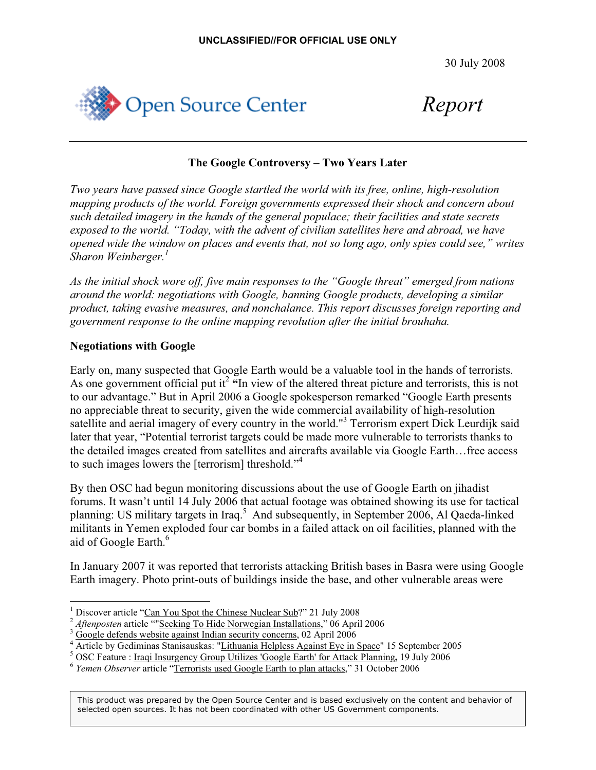30 July 2008



*Report*

## **The Google Controversy – Two Years Later**

*Two years have passed since Google startled the world with its free, online, high-resolution mapping products of the world. Foreign governments expressed their shock and concern about such detailed imagery in the hands of the general populace; their facilities and state secrets exposed to the world. "Today, with the advent of civilian satellites here and abroad, we have opened wide the window on places and events that, not so long ago, only spies could see," writes Sharon Weinberger.1*

*As the initial shock wore off, five main responses to the "Google threat" emerged from nations around the world: negotiations with Google, banning Google products, developing a similar product, taking evasive measures, and nonchalance. This report discusses foreign reporting and government response to the online mapping revolution after the initial brouhaha.* 

## **Negotiations with Google**

Early on, many suspected that Google Earth would be a valuable tool in the hands of terrorists. As one government official put it<sup>2</sup> "In view of the altered threat picture and terrorists, this is not to our advantage." But in April 2006 a Google spokesperson remarked "Google Earth presents no appreciable threat to security, given the wide commercial availability of high-resolution satellite and aerial imagery of every country in the world."<sup>3</sup> Terrorism expert Dick Leurdijk said later that year, "Potential terrorist targets could be made more vulnerable to terrorists thanks to the detailed images created from satellites and aircrafts available via Google Earth…free access to such images lowers the [terrorism] threshold."<sup>4</sup>

By then OSC had begun monitoring discussions about the use of Google Earth on jihadist forums. It wasn't until 14 July 2006 that actual footage was obtained showing its use for tactical planning: US military targets in Iraq.<sup>5</sup> And subsequently, in September 2006, Al Qaeda-linked militants in Yemen exploded four car bombs in a failed attack on oil facilities, planned with the aid of Google Earth.<sup>6</sup>

In January 2007 it was reported that terrorists attacking British bases in Basra were using Google Earth imagery. Photo print-outs of buildings inside the base, and other vulnerable areas were

<sup>1</sup> Discover article "Can You Spot the Chinese Nuclear Sub?" 21 July 2008<br>*Aftenposten* article ""Seeking To Hide Norwegian Installations," 06 April 2006

Google defends website against Indian security concerns, 02 April 2006

<sup>&</sup>lt;sup>4</sup> Article by Gediminas Stanisauskas: "Lithuania Helpless Against Eye in Space" 15 September 2005<br><sup>5</sup> OSC Feature : Iraqi Insu<u>rgency Group Utilizes 'Google Earth' for Attack Planning</u>, 19 July 2006

<sup>&</sup>lt;sup>6</sup> Yemen Observer article "Terrorists used Google Earth to plan attacks," 31 October 2006

This product was prepared by the Open Source Center and is based exclusively on the content and behavior of selected open sources. It has not been coordinated with other US Government components.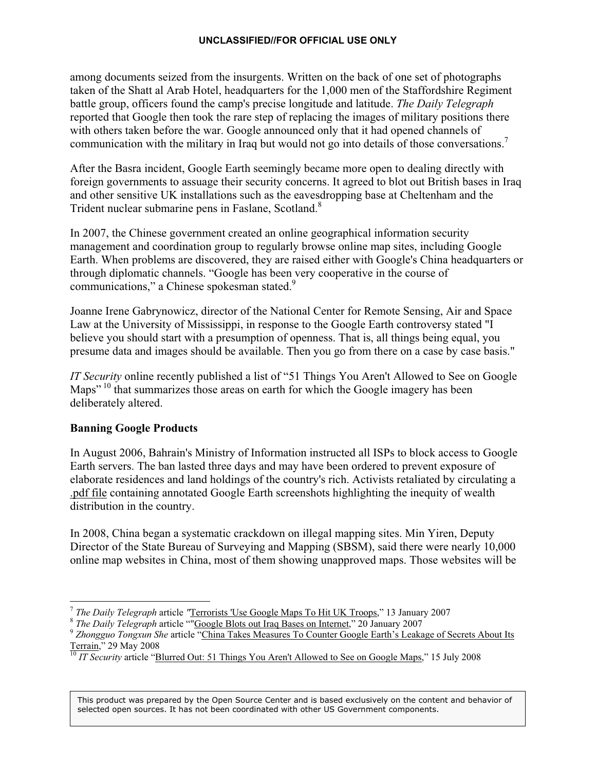#### **UNCLASSIFIED//FOR OFFICIAL USE ONLY**

among documents seized from the insurgents. Written on the back of one set of photographs taken of the Shatt al Arab Hotel, headquarters for the 1,000 men of the Staffordshire Regiment battle group, officers found the camp's precise longitude and latitude. *The Daily Telegraph* reported that Google then took the rare step of replacing the images of military positions there with others taken before the war. Google announced only that it had opened channels of communication with the military in Iraq but would not go into details of those conversations.<sup>7</sup>

After the Basra incident, Google Earth seemingly became more open to dealing directly with foreign governments to assuage their security concerns. It agreed to blot out British bases in Iraq and other sensitive UK installations such as the eavesdropping base at Cheltenham and the Trident nuclear submarine pens in Faslane, Scotland.<sup>8</sup>

In 2007, the Chinese government created an online geographical information security management and coordination group to regularly browse online map sites, including Google Earth. When problems are discovered, they are raised either with Google's China headquarters or through diplomatic channels. "Google has been very cooperative in the course of communications," a Chinese spokesman stated.<sup>9</sup>

Joanne Irene Gabrynowicz, director of the National Center for Remote Sensing, Air and Space Law at the University of Mississippi, in response to the Google Earth controversy stated "I believe you should start with a presumption of openness. That is, all things being equal, you presume data and images should be available. Then you go from there on a case by case basis."

*IT Security* online recently published a list of "51 Things You Aren't Allowed to See on Google Maps<sup>" 10</sup> that summarizes those areas on earth for which the Google imagery has been deliberately altered.

## **Banning Google Products**

In August 2006, Bahrain's Ministry of Information instructed all ISPs to block access to Google Earth servers. The ban lasted three days and may have been ordered to prevent exposure of elaborate residences and land holdings of the country's rich. Activists retaliated by circulating a .pdf file containing annotated Google Earth screenshots highlighting the inequity of wealth distribution in the country.

In 2008, China began a systematic crackdown on illegal mapping sites. Min Yiren, Deputy Director of the State Bureau of Surveying and Mapping (SBSM), said there were nearly 10,000 online map websites in China, most of them showing unapproved maps. Those websites will be

<sup>&</sup>lt;sup>7</sup> The Daily Telegraph article "Terrorists 'Use Google Maps To Hit UK Troops," 13 January 2007<br>
<sup>8</sup> The Daily Telegraph article ""Google Blots out Iraq Bases on Internet," 20 January 2007<br>
<sup>9</sup> Zhongguo Tongxun She article

<sup>&</sup>lt;sup>10</sup> IT Security article "Blurred Out: 51 Things You Aren't Allowed to See on Google Maps," 15 July 2008

This product was prepared by the Open Source Center and is based exclusively on the content and behavior of selected open sources. It has not been coordinated with other US Government components.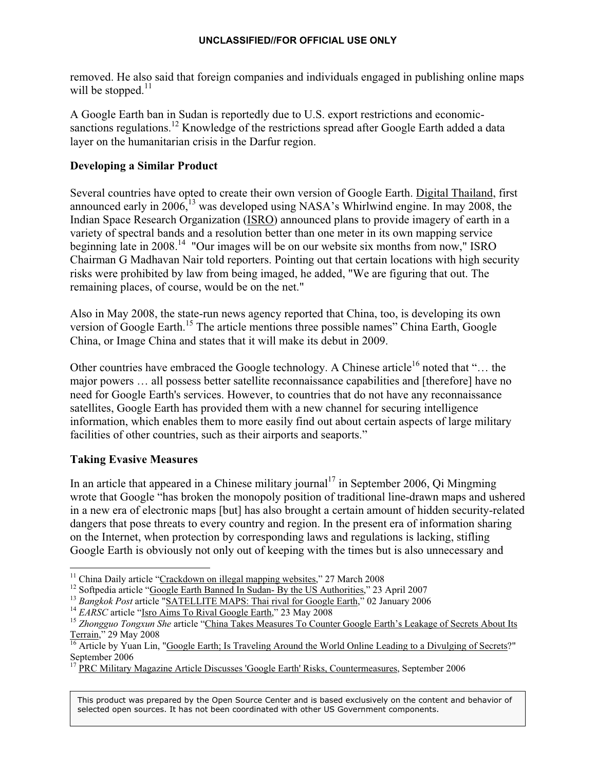removed. He also said that foreign companies and individuals engaged in publishing online maps will be stopped. $^{11}$ 

A Google Earth ban in Sudan is reportedly due to U.S. export restrictions and economicsanctions regulations.<sup>12</sup> Knowledge of the restrictions spread after Google Earth added a data layer on the humanitarian crisis in the Darfur region.

# **Developing a Similar Product**

Several countries have opted to create their own version of Google Earth. Digital Thailand, first announced early in  $2006$ ,  $^{13}$  was developed using NASA's Whirlwind engine. In may 2008, the Indian Space Research Organization (ISRO) announced plans to provide imagery of earth in a variety of spectral bands and a resolution better than one meter in its own mapping service beginning late in 2008.<sup>14</sup> "Our images will be on our website six months from now," ISRO Chairman G Madhavan Nair told reporters. Pointing out that certain locations with high security risks were prohibited by law from being imaged, he added, "We are figuring that out. The remaining places, of course, would be on the net."

Also in May 2008, the state-run news agency reported that China, too, is developing its own version of Google Earth.<sup>15</sup> The article mentions three possible names" China Earth, Google China, or Image China and states that it will make its debut in 2009.

Other countries have embraced the Google technology. A Chinese article<sup>16</sup> noted that "... the major powers … all possess better satellite reconnaissance capabilities and [therefore] have no need for Google Earth's services. However, to countries that do not have any reconnaissance satellites, Google Earth has provided them with a new channel for securing intelligence information, which enables them to more easily find out about certain aspects of large military facilities of other countries, such as their airports and seaports."

# **Taking Evasive Measures**

In an article that appeared in a Chinese military journal<sup>17</sup> in September 2006, Oi Mingming wrote that Google "has broken the monopoly position of traditional line-drawn maps and ushered in a new era of electronic maps [but] has also brought a certain amount of hidden security-related dangers that pose threats to every country and region. In the present era of information sharing on the Internet, when protection by corresponding laws and regulations is lacking, stifling Google Earth is obviously not only out of keeping with the times but is also unnecessary and

This product was prepared by the Open Source Center and is based exclusively on the content and behavior of selected open sources. It has not been coordinated with other US Government components.

<sup>&</sup>lt;sup>11</sup> China Daily article "Crackdown on illegal mapping websites," 27 March 2008<br><sup>12</sup> Softpedia article "Google Earth Banned In Sudan- By the US Authorities," 23 April 2007<br><sup>13</sup> Bangkok Post article "<u>SATELLITE MAPS: Thai r</u> Terrain," 29 May 2008<br><sup>16</sup> Article by Yuan Lin, "<u>Google Earth; Is Traveling Around the World Online Leading to a Divulging of Secrets?"</u>

September 2006

<sup>17</sup> PRC Military Magazine Article Discusses 'Google Earth' Risks, Countermeasures, September 2006